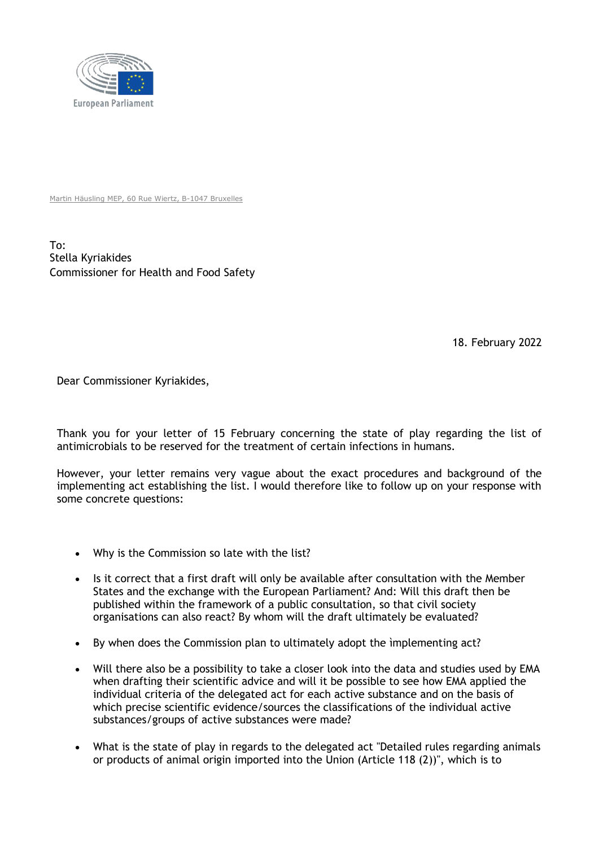

Martin Häusling MEP, 60 Rue Wiertz, B-1047 Bruxelles

To: Stella Kyriakides Commissioner for Health and Food Safety

18. February 2022

Dear Commissioner Kyriakides,

Thank you for your letter of 15 February concerning the state of play regarding the list of antimicrobials to be reserved for the treatment of certain infections in humans.

However, your letter remains very vague about the exact procedures and background of the implementing act establishing the list. I would therefore like to follow up on your response with some concrete questions:

- Why is the Commission so late with the list?
- Is it correct that a first draft will only be available after consultation with the Member States and the exchange with the European Parliament? And: Will this draft then be published within the framework of a public consultation, so that civil society organisations can also react? By whom will the draft ultimately be evaluated?
- By when does the Commission plan to ultimately adopt the ìmplementing act?
- Will there also be a possibility to take a closer look into the data and studies used by EMA when drafting their scientific advice and will it be possible to see how EMA applied the individual criteria of the delegated act for each active substance and on the basis of which precise scientific evidence/sources the classifications of the individual active substances/groups of active substances were made?
- What is the state of play in regards to the delegated act "Detailed rules regarding animals or products of animal origin imported into the Union (Article 118 (2))", which is to